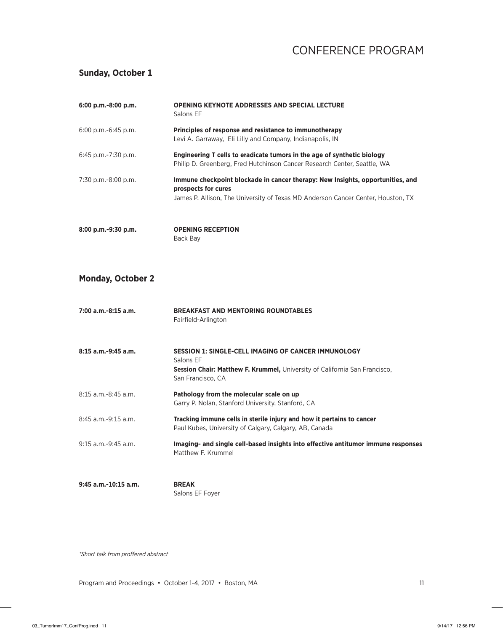#### **Sunday, October 1**

| 6:00 p.m.-8:00 p.m.      | <b>OPENING KEYNOTE ADDRESSES AND SPECIAL LECTURE</b><br>Salons EF                                                                                                                         |
|--------------------------|-------------------------------------------------------------------------------------------------------------------------------------------------------------------------------------------|
| $6:00$ p.m.- $6:45$ p.m. | Principles of response and resistance to immunotherapy<br>Levi A. Garraway, Eli Lilly and Company, Indianapolis, IN                                                                       |
| $6:45$ p.m.-7:30 p.m.    | Engineering T cells to eradicate tumors in the age of synthetic biology<br>Philip D. Greenberg, Fred Hutchinson Cancer Research Center, Seattle, WA                                       |
| 7:30 p.m.-8:00 p.m.      | Immune checkpoint blockade in cancer therapy: New Insights, opportunities, and<br>prospects for cures<br>James P. Allison, The University of Texas MD Anderson Cancer Center, Houston, TX |
| 8:00 p.m.-9:30 p.m.      | <b>OPENING RECEPTION</b><br>Back Bay                                                                                                                                                      |

#### **Monday, October 2**

| $7:00$ a.m.-8:15 a.m.    | <b>BREAKFAST AND MENTORING ROUNDTABLES</b><br>Fairfield-Arlington                                                                                                          |
|--------------------------|----------------------------------------------------------------------------------------------------------------------------------------------------------------------------|
| $8:15$ a.m.-9:45 a.m.    | <b>SESSION 1: SINGLE-CELL IMAGING OF CANCER IMMUNOLOGY</b><br>Salons FF<br>Session Chair: Matthew F. Krummel, University of California San Francisco,<br>San Francisco, CA |
| $8:15$ a.m.-8:45 a.m.    | Pathology from the molecular scale on up<br>Garry P. Nolan, Stanford University, Stanford, CA                                                                              |
| $8:45$ a.m.-9:15 a.m.    | Tracking immune cells in sterile injury and how it pertains to cancer<br>Paul Kubes, University of Calgary, Calgary, AB, Canada                                            |
| $9:15$ a.m. $-9:45$ a.m. | Imaging- and single cell-based insights into effective antitumor immune responses<br>Matthew F. Krummel                                                                    |
| $9:45$ a.m.-10:15 a.m.   | <b>BREAK</b><br>Salons EF Foyer                                                                                                                                            |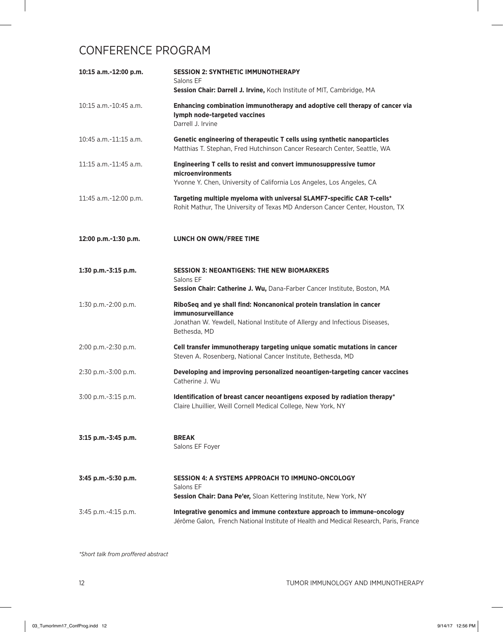| 10:15 a.m.-12:00 p.m.      | <b>SESSION 2: SYNTHETIC IMMUNOTHERAPY</b><br>Salons EF<br>Session Chair: Darrell J. Irvine, Koch Institute of MIT, Cambridge, MA                                                                  |
|----------------------------|---------------------------------------------------------------------------------------------------------------------------------------------------------------------------------------------------|
| 10:15 a.m.-10:45 a.m.      | Enhancing combination immunotherapy and adoptive cell therapy of cancer via<br>lymph node-targeted vaccines<br>Darrell J. Irvine                                                                  |
| $10:45$ a.m.- $11:15$ a.m. | Genetic engineering of therapeutic T cells using synthetic nanoparticles<br>Matthias T. Stephan, Fred Hutchinson Cancer Research Center, Seattle, WA                                              |
| 11:15 a.m.-11:45 a.m.      | Engineering T cells to resist and convert immunosuppressive tumor<br>microenvironments<br>Yvonne Y. Chen, University of California Los Angeles, Los Angeles, CA                                   |
| 11:45 a.m.-12:00 p.m.      | Targeting multiple myeloma with universal SLAMF7-specific CAR T-cells*<br>Rohit Mathur, The University of Texas MD Anderson Cancer Center, Houston, TX                                            |
| 12:00 p.m.-1:30 p.m.       | LUNCH ON OWN/FREE TIME                                                                                                                                                                            |
| 1:30 p.m.-3:15 p.m.        | <b>SESSION 3: NEOANTIGENS: THE NEW BIOMARKERS</b><br>Salons EF<br>Session Chair: Catherine J. Wu, Dana-Farber Cancer Institute, Boston, MA                                                        |
| 1:30 p.m.-2:00 p.m.        | RiboSeq and ye shall find: Noncanonical protein translation in cancer<br><i>immunosurveillance</i><br>Jonathan W. Yewdell, National Institute of Allergy and Infectious Diseases,<br>Bethesda, MD |
| 2:00 p.m.-2:30 p.m.        | Cell transfer immunotherapy targeting unique somatic mutations in cancer<br>Steven A. Rosenberg, National Cancer Institute, Bethesda, MD                                                          |
| 2:30 p.m.-3:00 p.m.        | Developing and improving personalized neoantigen-targeting cancer vaccines<br>Catherine J. Wu                                                                                                     |
| 3:00 p.m.-3:15 p.m.        | Identification of breast cancer neoantigens exposed by radiation therapy*<br>Claire Lhuillier, Weill Cornell Medical College, New York, NY                                                        |
| 3:15 p.m.-3:45 p.m.        | <b>BREAK</b><br>Salons EF Foyer                                                                                                                                                                   |
| 3:45 p.m.-5:30 p.m.        | <b>SESSION 4: A SYSTEMS APPROACH TO IMMUNO-ONCOLOGY</b><br>Salons EF<br>Session Chair: Dana Pe'er, Sloan Kettering Institute, New York, NY                                                        |
| 3:45 p.m.-4:15 p.m.        | Integrative genomics and immune contexture approach to immune-oncology<br>Jérôme Galon, French National Institute of Health and Medical Research, Paris, France                                   |

```
*Short talk from proffered abstract
```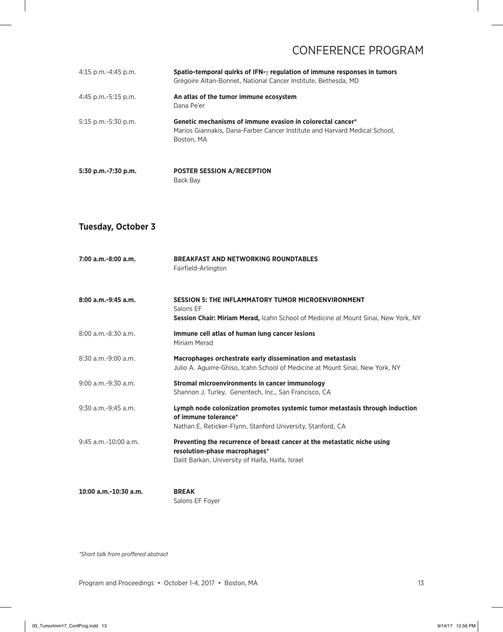| $4:15$ p.m.-4:45 p.m. | Spatio-temporal quirks of IFN-y regulation of immune responses in tumors<br>Grégoire Altan-Bonnet, National Cancer Institute, Bethesda, MD             |
|-----------------------|--------------------------------------------------------------------------------------------------------------------------------------------------------|
| $4:45$ p.m.-5:15 p.m. | An atlas of the tumor immune ecosystem<br>Dana Pe'er                                                                                                   |
| 5:15 p.m.-5:30 p.m.   | Genetic mechanisms of immune evasion in colorectal cancer*<br>Marios Giannakis, Dana-Farber Cancer Institute and Harvard Medical School,<br>Boston, MA |
| 5:30 p.m.-7:30 p.m.   | <b>POSTER SESSION A/RECEPTION</b><br>Back Bay                                                                                                          |

#### **Tuesday, October 3**

| 7:00 a.m.-8:00 a.m.       | <b>BREAKFAST AND NETWORKING ROUNDTABLES</b><br>Fairfield-Arlington                                                                                                  |
|---------------------------|---------------------------------------------------------------------------------------------------------------------------------------------------------------------|
| 8:00 a.m.-9:45 a.m.       | <b>SESSION 5: THE INFLAMMATORY TUMOR MICROENVIRONMENT</b><br>Salons EF<br><b>Session Chair: Miriam Merad, Icahn School of Medicine at Mount Sinai, New York, NY</b> |
| $8:00$ a.m.-8:30 a.m.     | Immune cell atlas of human lung cancer lesions<br>Miriam Merad                                                                                                      |
| $8:30$ a.m.-9:00 a.m.     | Macrophages orchestrate early dissemination and metastasis<br>Julio A. Aguirre-Ghiso, Icahn School of Medicine at Mount Sinai, New York, NY                         |
| $9:00$ a.m.- $9:30$ a.m.  | Stromal microenvironments in cancer immunology<br>Shannon J. Turley, Genentech, Inc., San Francisco, CA                                                             |
| $9:30$ a.m.-9:45 a.m.     | Lymph node colonization promotes systemic tumor metastasis through induction<br>of immune tolerance*<br>Nathan E. Reticker-Flynn, Stanford University, Stanford, CA |
| $9:45$ a.m. $-10:00$ a.m. | Preventing the recurrence of breast cancer at the metastatic niche using<br>resolution-phase macrophages*<br>Dalit Barkan, University of Haifa, Haifa, Israel       |
| 10:00 a.m.-10:30 a.m.     | <b>BREAK</b>                                                                                                                                                        |

Salons EF Foyer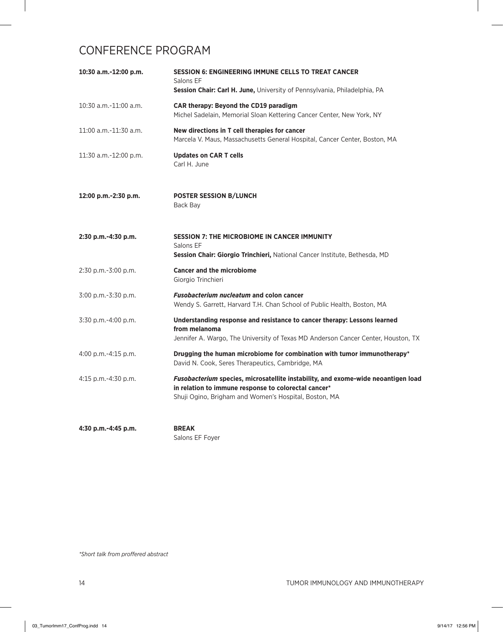| 10:30 a.m.-12:00 p.m.    | <b>SESSION 6: ENGINEERING IMMUNE CELLS TO TREAT CANCER</b><br>Salons EF<br>Session Chair: Carl H. June, University of Pennsylvania, Philadelphia, PA                                               |
|--------------------------|----------------------------------------------------------------------------------------------------------------------------------------------------------------------------------------------------|
| 10:30 a.m.-11:00 a.m.    | CAR therapy: Beyond the CD19 paradigm<br>Michel Sadelain, Memorial Sloan Kettering Cancer Center, New York, NY                                                                                     |
| 11:00 a.m.-11:30 a.m.    | New directions in T cell therapies for cancer<br>Marcela V. Maus, Massachusetts General Hospital, Cancer Center, Boston, MA                                                                        |
| 11:30 a.m.-12:00 p.m.    | <b>Updates on CAR T cells</b><br>Carl H. June                                                                                                                                                      |
| 12:00 p.m.-2:30 p.m.     | <b>POSTER SESSION B/LUNCH</b><br>Back Bay                                                                                                                                                          |
| 2:30 p.m.-4:30 p.m.      | <b>SESSION 7: THE MICROBIOME IN CANCER IMMUNITY</b><br>Salons EF<br>Session Chair: Giorgio Trinchieri, National Cancer Institute, Bethesda, MD                                                     |
| 2:30 p.m.-3:00 p.m.      | <b>Cancer and the microbiome</b><br>Giorgio Trinchieri                                                                                                                                             |
| 3:00 p.m.-3:30 p.m.      | <b>Fusobacterium nucleatum and colon cancer</b><br>Wendy S. Garrett, Harvard T.H. Chan School of Public Health, Boston, MA                                                                         |
| 3:30 p.m.-4:00 p.m.      | Understanding response and resistance to cancer therapy: Lessons learned<br>from melanoma<br>Jennifer A. Wargo, The University of Texas MD Anderson Cancer Center, Houston, TX                     |
| $4:00$ p.m.- $4:15$ p.m. | Drugging the human microbiome for combination with tumor immunotherapy*<br>David N. Cook, Seres Therapeutics, Cambridge, MA                                                                        |
| 4:15 p.m.-4:30 p.m.      | Fusobacterium species, microsatellite instability, and exome-wide neoantigen load<br>in relation to immune response to colorectal cancer*<br>Shuji Ogino, Brigham and Women's Hospital, Boston, MA |

**4:30 p.m.-4:45 p.m. BREAK**

Salons EF Foyer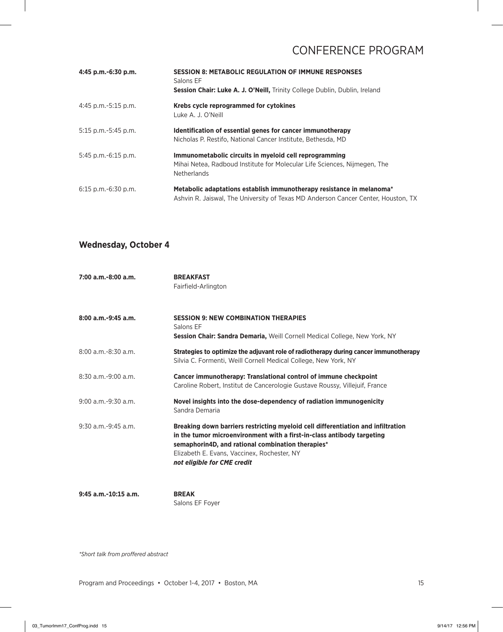| 4:45 p.m.-6:30 p.m.   | <b>SESSION 8: METABOLIC REGULATION OF IMMUNE RESPONSES</b><br>Salons EF<br>Session Chair: Luke A. J. O'Neill, Trinity College Dublin, Dublin, Ireland      |
|-----------------------|------------------------------------------------------------------------------------------------------------------------------------------------------------|
| 4:45 p.m.-5:15 p.m.   | Krebs cycle reprogrammed for cytokines<br>Luke A. J. O'Neill                                                                                               |
| $5:15$ p.m.-5:45 p.m. | Identification of essential genes for cancer immunotherapy<br>Nicholas P. Restifo, National Cancer Institute, Bethesda, MD                                 |
| $5:45$ p.m.-6:15 p.m. | Immunometabolic circuits in myeloid cell reprogramming<br>Mihai Netea, Radboud Institute for Molecular Life Sciences, Nijmegen, The<br><b>Netherlands</b>  |
| $6:15$ p.m.-6:30 p.m. | Metabolic adaptations establish immunotherapy resistance in melanoma*<br>Ashvin R. Jaiswal, The University of Texas MD Anderson Cancer Center, Houston, TX |

### **Wednesday, October 4**

| $7:00$ a.m.-8:00 a.m.    | <b>BREAKFAST</b><br>Fairfield-Arlington                                                                                                                                                                                                                                                       |
|--------------------------|-----------------------------------------------------------------------------------------------------------------------------------------------------------------------------------------------------------------------------------------------------------------------------------------------|
| $8:00$ a.m.-9:45 a.m.    | <b>SESSION 9: NEW COMBINATION THERAPIES</b><br>Salons EF<br>Session Chair: Sandra Demaria, Weill Cornell Medical College, New York, NY                                                                                                                                                        |
| $8:00$ a.m. $-8:30$ a.m. | Strategies to optimize the adjuvant role of radiotherapy during cancer immunotherapy<br>Silvia C. Formenti, Weill Cornell Medical College, New York, NY                                                                                                                                       |
| $8:30$ a.m.-9:00 a.m.    | Cancer immunotherapy: Translational control of immune checkpoint<br>Caroline Robert, Institut de Cancerologie Gustave Roussy, Villejuif, France                                                                                                                                               |
| $9:00$ a.m. $-9:30$ a.m. | Novel insights into the dose-dependency of radiation immunogenicity<br>Sandra Demaria                                                                                                                                                                                                         |
| $9:30$ a.m. $-9:45$ a.m. | Breaking down barriers restricting myeloid cell differentiation and infiltration<br>in the tumor microenvironment with a first-in-class antibody targeting<br>semaphorin4D, and rational combination therapies*<br>Elizabeth E. Evans, Vaccinex, Rochester, NY<br>not eligible for CME credit |

**9:45 a.m.-10:15 a.m. BREAK**

Salons EF Foyer